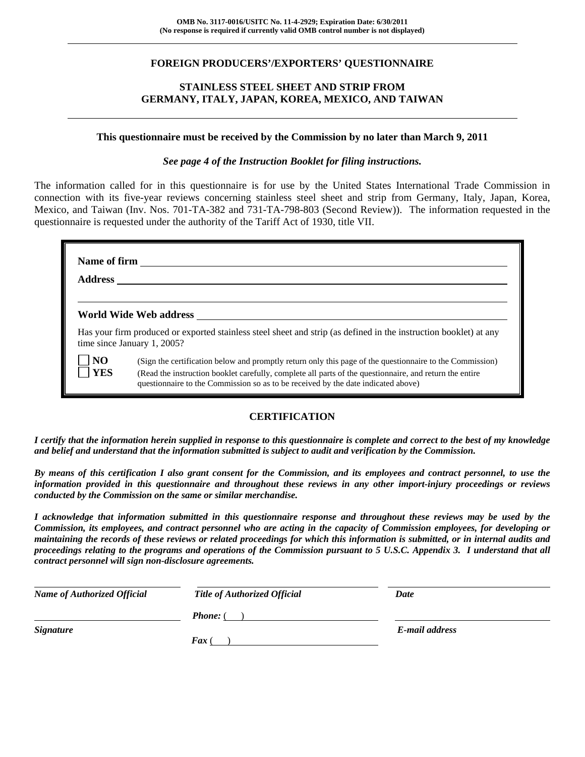## **FOREIGN PRODUCERS'/EXPORTERS' QUESTIONNAIRE**

## **STAINLESS STEEL SHEET AND STRIP FROM GERMANY, ITALY, JAPAN, KOREA, MEXICO, AND TAIWAN**

#### **This questionnaire must be received by the Commission by no later than March 9, 2011**

*See page 4 of the Instruction Booklet for filing instructions.* 

The information called for in this questionnaire is for use by the United States International Trade Commission in connection with its five-year reviews concerning stainless steel sheet and strip from Germany, Italy, Japan, Korea, Mexico, and Taiwan (Inv. Nos. 701-TA-382 and 731-TA-798-803 (Second Review)). The information requested in the questionnaire is requested under the authority of the Tariff Act of 1930, title VII.

| <b>Address</b>              |                                                                                                                                                                                                                                                                                                          |
|-----------------------------|----------------------------------------------------------------------------------------------------------------------------------------------------------------------------------------------------------------------------------------------------------------------------------------------------------|
|                             | World Wide Web address                                                                                                                                                                                                                                                                                   |
| time since January 1, 2005? | Has your firm produced or exported stainless steel sheet and strip (as defined in the instruction booklet) at any                                                                                                                                                                                        |
| NO<br><b>YES</b>            | (Sign the certification below and promptly return only this page of the questionnaire to the Commission)<br>(Read the instruction booklet carefully, complete all parts of the questionnaire, and return the entire<br>questionnaire to the Commission so as to be received by the date indicated above) |

## **CERTIFICATION**

*I certify that the information herein supplied in response to this questionnaire is complete and correct to the best of my knowledge and belief and understand that the information submitted is subject to audit and verification by the Commission.* 

*By means of this certification I also grant consent for the Commission, and its employees and contract personnel, to use the information provided in this questionnaire and throughout these reviews in any other import-injury proceedings or reviews conducted by the Commission on the same or similar merchandise.* 

*I acknowledge that information submitted in this questionnaire response and throughout these reviews may be used by the Commission, its employees, and contract personnel who are acting in the capacity of Commission employees, for developing or maintaining the records of these reviews or related proceedings for which this information is submitted, or in internal audits and proceedings relating to the programs and operations of the Commission pursuant to 5 U.S.C. Appendix 3. I understand that all contract personnel will sign non-disclosure agreements.* 

| <b>Name of Authorized Official</b> | Title of Authorized Official | Date           |  |
|------------------------------------|------------------------------|----------------|--|
|                                    | <b>Phone:</b> $($            |                |  |
| <b>Signature</b>                   | $\boldsymbol{F}$ ax (        | E-mail address |  |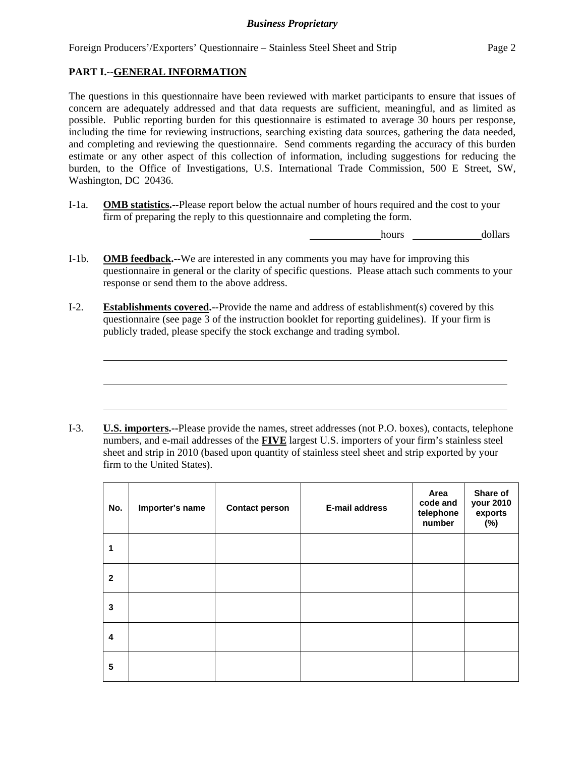Foreign Producers'/Exporters' Questionnaire – Stainless Steel Sheet and Strip Page 2

## **PART I.--GENERAL INFORMATION**

 $\overline{a}$ 

The questions in this questionnaire have been reviewed with market participants to ensure that issues of concern are adequately addressed and that data requests are sufficient, meaningful, and as limited as possible. Public reporting burden for this questionnaire is estimated to average 30 hours per response, including the time for reviewing instructions, searching existing data sources, gathering the data needed, and completing and reviewing the questionnaire. Send comments regarding the accuracy of this burden estimate or any other aspect of this collection of information, including suggestions for reducing the burden, to the Office of Investigations, U.S. International Trade Commission, 500 E Street, SW, Washington, DC 20436.

I-1a. **OMB statistics.--**Please report below the actual number of hours required and the cost to your firm of preparing the reply to this questionnaire and completing the form.

hours dollars

- I-1b. **OMB feedback.--**We are interested in any comments you may have for improving this questionnaire in general or the clarity of specific questions. Please attach such comments to your response or send them to the above address.
- I-2. **Establishments covered.--**Provide the name and address of establishment(s) covered by this questionnaire (see page 3 of the instruction booklet for reporting guidelines). If your firm is publicly traded, please specify the stock exchange and trading symbol.

I-3. **U.S. importers.--**Please provide the names, street addresses (not P.O. boxes), contacts, telephone numbers, and e-mail addresses of the **FIVE** largest U.S. importers of your firm's stainless steel sheet and strip in 2010 (based upon quantity of stainless steel sheet and strip exported by your firm to the United States).

| No.          | Importer's name | <b>Contact person</b> | <b>E-mail address</b> | Area<br>code and<br>telephone<br>number | Share of<br>your 2010<br>exports<br>(%) |
|--------------|-----------------|-----------------------|-----------------------|-----------------------------------------|-----------------------------------------|
| 1            |                 |                       |                       |                                         |                                         |
| $\mathbf{2}$ |                 |                       |                       |                                         |                                         |
| 3            |                 |                       |                       |                                         |                                         |
| 4            |                 |                       |                       |                                         |                                         |
| 5            |                 |                       |                       |                                         |                                         |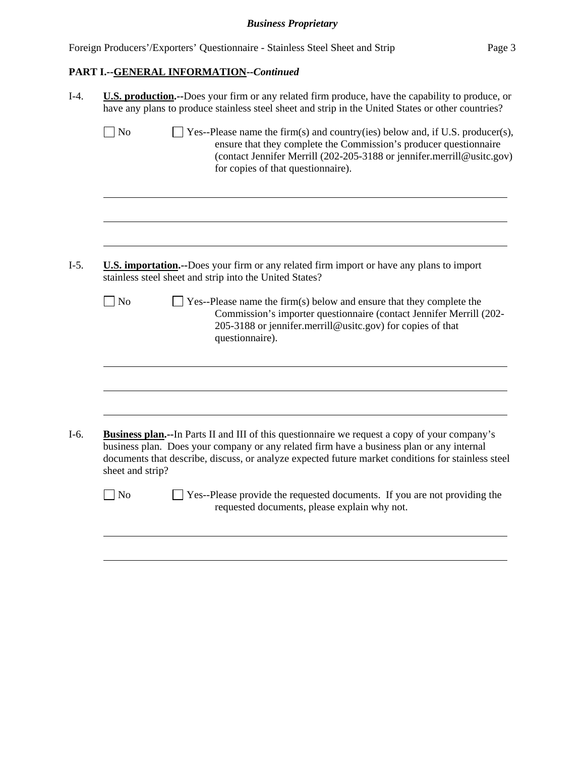Foreign Producers'/Exporters' Questionnaire - Stainless Steel Sheet and Strip Page 3

# **PART I.--GENERAL INFORMATION--***Continued*

| $\perp$ Yes--Please name the firm(s) and country(ies) below and, if U.S. producer(s),<br>ensure that they complete the Commission's producer questionnaire<br>(contact Jennifer Merrill (202-205-3188 or jennifer.merrill@usitc.gov)<br>for copies of that questionnaire).<br>U.S. importation.--Does your firm or any related firm import or have any plans to import |
|------------------------------------------------------------------------------------------------------------------------------------------------------------------------------------------------------------------------------------------------------------------------------------------------------------------------------------------------------------------------|
|                                                                                                                                                                                                                                                                                                                                                                        |
|                                                                                                                                                                                                                                                                                                                                                                        |
|                                                                                                                                                                                                                                                                                                                                                                        |
| $\exists$ Yes--Please name the firm(s) below and ensure that they complete the<br>Commission's importer questionnaire (contact Jennifer Merrill (202-<br>205-3188 or jennifer.merrill@usitc.gov) for copies of that                                                                                                                                                    |
|                                                                                                                                                                                                                                                                                                                                                                        |
| <b>Business plan.--In Parts II and III of this questionnaire we request a copy of your company's</b><br>business plan. Does your company or any related firm have a business plan or any internal<br>documents that describe, discuss, or analyze expected future market conditions for stainless steel                                                                |
|                                                                                                                                                                                                                                                                                                                                                                        |
|                                                                                                                                                                                                                                                                                                                                                                        |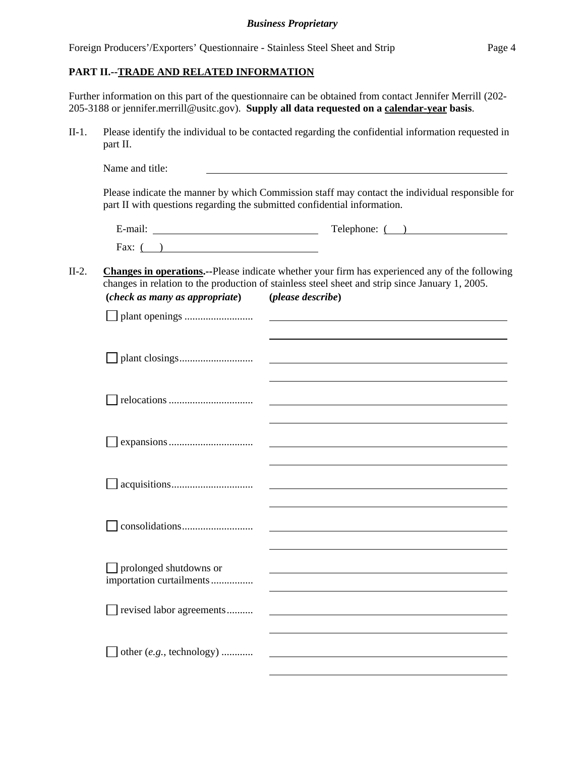| Foreign Producers'/Exporters' Questionnaire - Stainless Steel Sheet and Strip | Page 4 |
|-------------------------------------------------------------------------------|--------|
|                                                                               |        |

## **PART II.--TRADE AND RELATED INFORMATION**

Further information on this part of the questionnaire can be obtained from contact Jennifer Merrill (202- 205-3188 or jennifer.merrill@usitc.gov). **Supply all data requested on a calendar-year basis**.

II-1. Please identify the individual to be contacted regarding the confidential information requested in part II.

|                                                    | Telephone: $($ )                                                                                                                                                                                         |
|----------------------------------------------------|----------------------------------------------------------------------------------------------------------------------------------------------------------------------------------------------------------|
| Fax: $($ )                                         |                                                                                                                                                                                                          |
|                                                    | <b>Changes in operations.--Please indicate whether your firm has experienced any of the following</b><br>changes in relation to the production of stainless steel sheet and strip since January 1, 2005. |
| (check as many as appropriate) (please describe)   |                                                                                                                                                                                                          |
|                                                    | <u> 1980 - John Stein, Amerikaansk politiker (* 1918)</u>                                                                                                                                                |
|                                                    | <u> 1989 - Johann Harry Harry Harry Harry Harry Harry Harry Harry Harry Harry Harry Harry Harry Harry Harry Harry H</u>                                                                                  |
|                                                    |                                                                                                                                                                                                          |
|                                                    | <u> 1980 - John Stein, Amerikaansk politiker (</u> † 1920)                                                                                                                                               |
|                                                    |                                                                                                                                                                                                          |
|                                                    |                                                                                                                                                                                                          |
| prolonged shutdowns or<br>importation curtailments |                                                                                                                                                                                                          |
| revised labor agreements                           |                                                                                                                                                                                                          |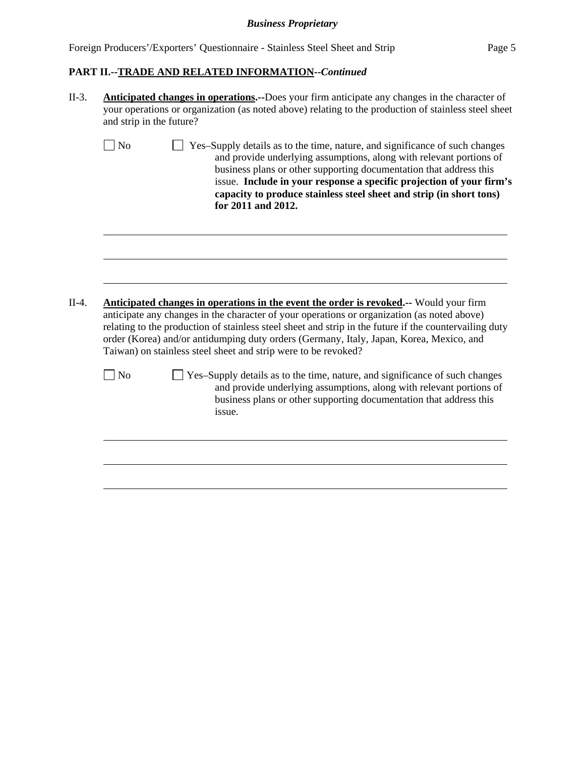Foreign Producers'/Exporters' Questionnaire - Stainless Steel Sheet and Strip Page 5

# **PART II.--TRADE AND RELATED INFORMATION--***Continued*

| $II-3.$ | <b>Anticipated changes in operations.</b> --Does your firm anticipate any changes in the character of<br>your operations or organization (as noted above) relating to the production of stainless steel sheet<br>and strip in the future?                                                                                                                                                                                                                    |
|---------|--------------------------------------------------------------------------------------------------------------------------------------------------------------------------------------------------------------------------------------------------------------------------------------------------------------------------------------------------------------------------------------------------------------------------------------------------------------|
|         | $ N_0$<br>Yes-Supply details as to the time, nature, and significance of such changes<br>and provide underlying assumptions, along with relevant portions of<br>business plans or other supporting documentation that address this<br>issue. Include in your response a specific projection of your firm's<br>capacity to produce stainless steel sheet and strip (in short tons)<br>for 2011 and 2012.                                                      |
| $II-4.$ | Anticipated changes in operations in the event the order is revoked.-- Would your firm<br>anticipate any changes in the character of your operations or organization (as noted above)<br>relating to the production of stainless steel sheet and strip in the future if the countervailing duty<br>order (Korea) and/or antidumping duty orders (Germany, Italy, Japan, Korea, Mexico, and<br>Taiwan) on stainless steel sheet and strip were to be revoked? |
|         | $\vert$ No<br>Yes-Supply details as to the time, nature, and significance of such changes<br>and provide underlying assumptions, along with relevant portions of<br>business plans or other supporting documentation that address this<br>issue.                                                                                                                                                                                                             |
|         |                                                                                                                                                                                                                                                                                                                                                                                                                                                              |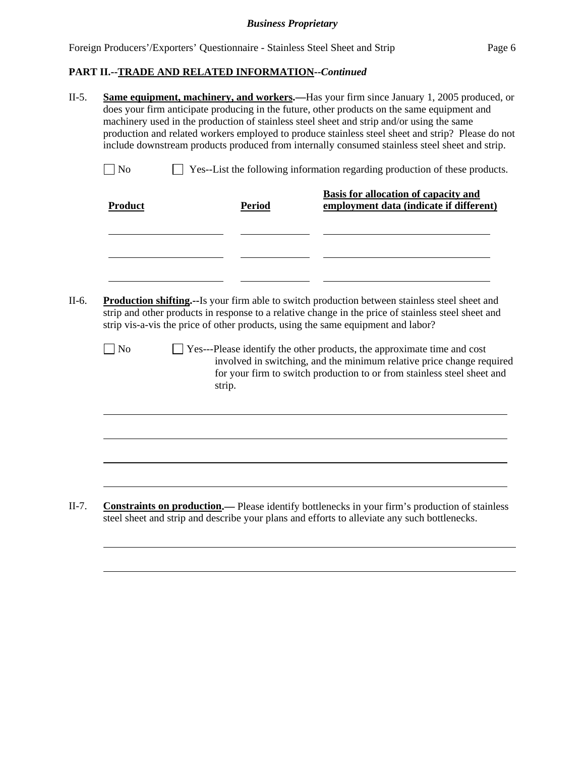# **PART II.--TRADE AND RELATED INFORMATION--***Continued*

l

 $\overline{a}$ 

| $\exists$ No   |               | Yes--List the following information regarding production of these products.<br>Basis for allocation of capacity and                                                                                                                                                                                                                                                                                                                          |
|----------------|---------------|----------------------------------------------------------------------------------------------------------------------------------------------------------------------------------------------------------------------------------------------------------------------------------------------------------------------------------------------------------------------------------------------------------------------------------------------|
| <b>Product</b> | <b>Period</b> | employment data (indicate if different)                                                                                                                                                                                                                                                                                                                                                                                                      |
|                |               |                                                                                                                                                                                                                                                                                                                                                                                                                                              |
|                |               |                                                                                                                                                                                                                                                                                                                                                                                                                                              |
|                |               |                                                                                                                                                                                                                                                                                                                                                                                                                                              |
|                |               | strip vis-a-vis the price of other products, using the same equipment and labor?                                                                                                                                                                                                                                                                                                                                                             |
| $\neg$ No      |               |                                                                                                                                                                                                                                                                                                                                                                                                                                              |
|                | strip.        | <b>Production shifting.</b> --Is your firm able to switch production between stainless steel sheet and<br>strip and other products in response to a relative change in the price of stainless steel sheet and<br>Yes---Please identify the other products, the approximate time and cost<br>involved in switching, and the minimum relative price change required<br>for your firm to switch production to or from stainless steel sheet and |
|                |               |                                                                                                                                                                                                                                                                                                                                                                                                                                              |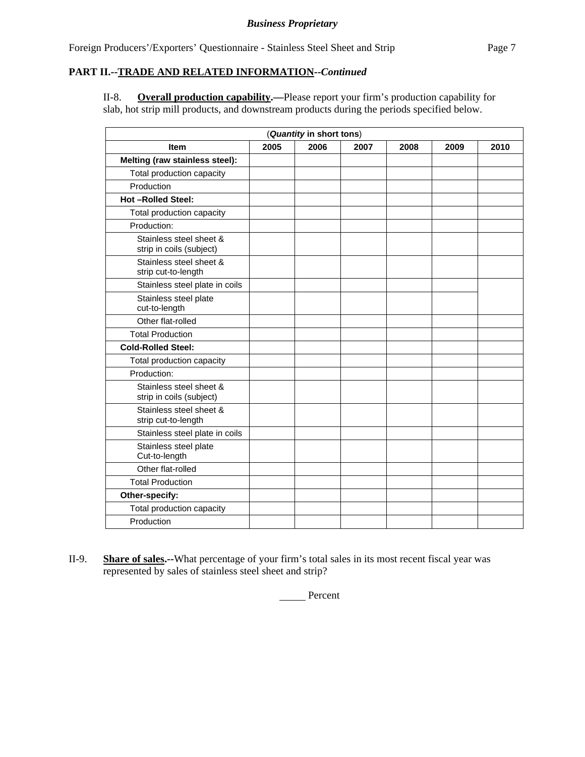### **PART II.--TRADE AND RELATED INFORMATION--***Continued*

II-8. **Overall production capability.—**Please report your firm's production capability for slab, hot strip mill products, and downstream products during the periods specified below.

| (Quantity in short tons)                            |      |      |      |      |      |      |
|-----------------------------------------------------|------|------|------|------|------|------|
| <b>Item</b>                                         | 2005 | 2006 | 2007 | 2008 | 2009 | 2010 |
| Melting (raw stainless steel):                      |      |      |      |      |      |      |
| Total production capacity                           |      |      |      |      |      |      |
| Production                                          |      |      |      |      |      |      |
| <b>Hot-Rolled Steel:</b>                            |      |      |      |      |      |      |
| Total production capacity                           |      |      |      |      |      |      |
| Production:                                         |      |      |      |      |      |      |
| Stainless steel sheet &<br>strip in coils (subject) |      |      |      |      |      |      |
| Stainless steel sheet &<br>strip cut-to-length      |      |      |      |      |      |      |
| Stainless steel plate in coils                      |      |      |      |      |      |      |
| Stainless steel plate<br>cut-to-length              |      |      |      |      |      |      |
| Other flat-rolled                                   |      |      |      |      |      |      |
| <b>Total Production</b>                             |      |      |      |      |      |      |
| <b>Cold-Rolled Steel:</b>                           |      |      |      |      |      |      |
| Total production capacity                           |      |      |      |      |      |      |
| Production:                                         |      |      |      |      |      |      |
| Stainless steel sheet &<br>strip in coils (subject) |      |      |      |      |      |      |
| Stainless steel sheet &<br>strip cut-to-length      |      |      |      |      |      |      |
| Stainless steel plate in coils                      |      |      |      |      |      |      |
| Stainless steel plate<br>Cut-to-length              |      |      |      |      |      |      |
| Other flat-rolled                                   |      |      |      |      |      |      |
| <b>Total Production</b>                             |      |      |      |      |      |      |
| Other-specify:                                      |      |      |      |      |      |      |
| Total production capacity                           |      |      |      |      |      |      |
| Production                                          |      |      |      |      |      |      |

II-9. **Share of sales.--**What percentage of your firm's total sales in its most recent fiscal year was represented by sales of stainless steel sheet and strip?

Percent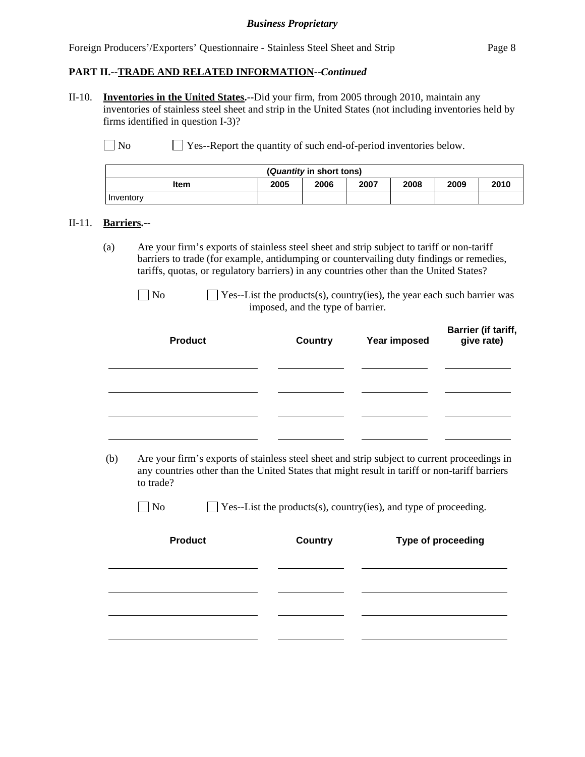Foreign Producers'/Exporters' Questionnaire - Stainless Steel Sheet and Strip Page 8

#### **PART II.--TRADE AND RELATED INFORMATION--***Continued*

II-10. **Inventories in the United States.--**Did your firm, from 2005 through 2010, maintain any inventories of stainless steel sheet and strip in the United States (not including inventories held by firms identified in question I-3)?

No Ses-Report the quantity of such end-of-period inventories below.

| ( <i>Quantity</i> in short tons)                     |  |  |  |  |  |  |
|------------------------------------------------------|--|--|--|--|--|--|
| 2005<br>2006<br>2008<br>2009<br>2007<br>2010<br>Item |  |  |  |  |  |  |
| Inventory                                            |  |  |  |  |  |  |

#### II-11. **Barriers.--**

(a) Are your firm's exports of stainless steel sheet and strip subject to tariff or non-tariff barriers to trade (for example, antidumping or countervailing duty findings or remedies, tariffs, quotas, or regulatory barriers) in any countries other than the United States?

| <b>Product</b> | <b>Country</b> | Year imposed | Barrier (if tariff,<br>give rate) |
|----------------|----------------|--------------|-----------------------------------|
|                |                |              |                                   |
|                |                |              |                                   |

 (b) Are your firm's exports of stainless steel sheet and strip subject to current proceedings in any countries other than the United States that might result in tariff or non-tariff barriers to trade?

 $\Box$  No  $\Box$  Yes--List the products(s), country(ies), and type of proceeding.

| <b>Product</b> | <b>Country</b> | Type of proceeding |
|----------------|----------------|--------------------|
|                |                |                    |
|                |                |                    |
|                |                |                    |

 $\Box$  No  $\Box$  Yes--List the products(s), country(ies), the year each such barrier was imposed, and the type of barrier.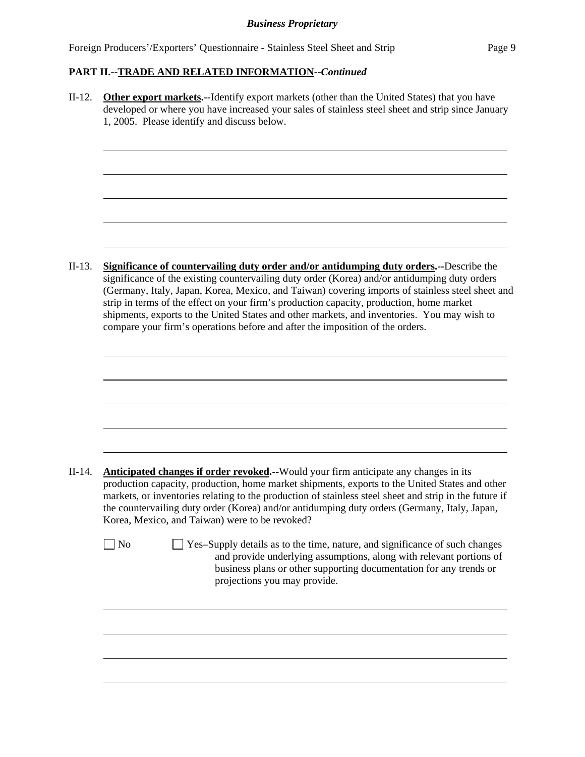Foreign Producers'/Exporters' Questionnaire - Stainless Steel Sheet and Strip Page 9

# **PART II.--TRADE AND RELATED INFORMATION--***Continued*

II-12. **Other export markets.--**Identify export markets (other than the United States) that you have developed or where you have increased your sales of stainless steel sheet and strip since January 1, 2005. Please identify and discuss below.  $\overline{a}$ II-13. **Significance of countervailing duty order and/or antidumping duty orders.--**Describe the significance of the existing countervailing duty order (Korea) and/or antidumping duty orders (Germany, Italy, Japan, Korea, Mexico, and Taiwan) covering imports of stainless steel sheet and strip in terms of the effect on your firm's production capacity, production, home market shipments, exports to the United States and other markets, and inventories. You may wish to compare your firm's operations before and after the imposition of the orders.  $\overline{a}$ II-14. **Anticipated changes if order revoked.--**Would your firm anticipate any changes in its production capacity, production, home market shipments, exports to the United States and other markets, or inventories relating to the production of stainless steel sheet and strip in the future if the countervailing duty order (Korea) and/or antidumping duty orders (Germany, Italy, Japan, Korea, Mexico, and Taiwan) were to be revoked?  $\Box$  No  $\Box$  Yes–Supply details as to the time, nature, and significance of such changes and provide underlying assumptions, along with relevant portions of business plans or other supporting documentation for any trends or projections you may provide. l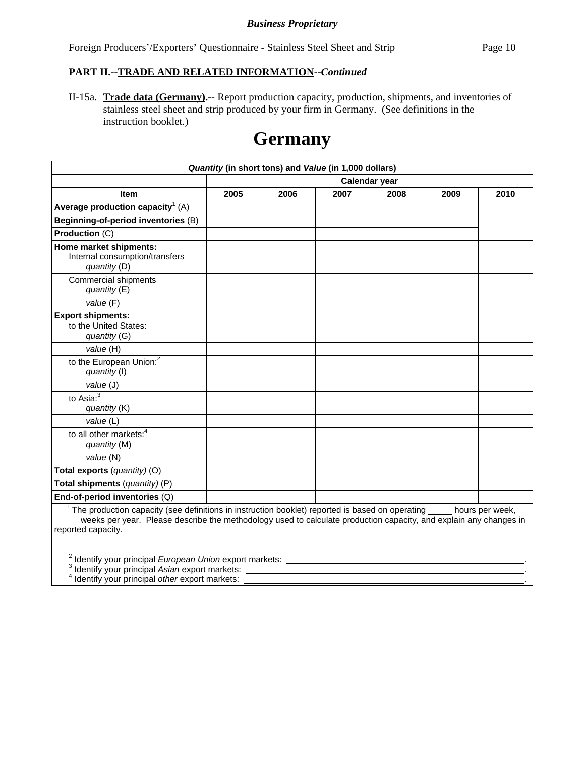Foreign Producers'/Exporters' Questionnaire - Stainless Steel Sheet and Strip Page 10

#### **PART II.--TRADE AND RELATED INFORMATION--***Continued*

II-15a. **Trade data (Germany).--** Report production capacity, production, shipments, and inventories of stainless steel sheet and strip produced by your firm in Germany. (See definitions in the instruction booklet.)

# **Germany**

| Quantity (in short tons) and Value (in 1,000 dollars)                                                                                                                                                                                                                   |      |      |      |               |      |      |
|-------------------------------------------------------------------------------------------------------------------------------------------------------------------------------------------------------------------------------------------------------------------------|------|------|------|---------------|------|------|
|                                                                                                                                                                                                                                                                         |      |      |      | Calendar year |      |      |
| <b>Item</b>                                                                                                                                                                                                                                                             | 2005 | 2006 | 2007 | 2008          | 2009 | 2010 |
| Average production capacity <sup>1</sup> (A)                                                                                                                                                                                                                            |      |      |      |               |      |      |
| Beginning-of-period inventories (B)                                                                                                                                                                                                                                     |      |      |      |               |      |      |
| Production (C)                                                                                                                                                                                                                                                          |      |      |      |               |      |      |
| Home market shipments:<br>Internal consumption/transfers<br>quantity (D)                                                                                                                                                                                                |      |      |      |               |      |      |
| <b>Commercial shipments</b><br>quantity (E)                                                                                                                                                                                                                             |      |      |      |               |      |      |
| value (F)                                                                                                                                                                                                                                                               |      |      |      |               |      |      |
| <b>Export shipments:</b><br>to the United States:<br>quantity (G)                                                                                                                                                                                                       |      |      |      |               |      |      |
| value (H)                                                                                                                                                                                                                                                               |      |      |      |               |      |      |
| to the European Union: <sup>2</sup><br>quantity (I)                                                                                                                                                                                                                     |      |      |      |               |      |      |
| value (J)                                                                                                                                                                                                                                                               |      |      |      |               |      |      |
| to Asia: <sup>3</sup><br>quantity (K)                                                                                                                                                                                                                                   |      |      |      |               |      |      |
| value (L)                                                                                                                                                                                                                                                               |      |      |      |               |      |      |
| to all other markets: <sup>4</sup><br>quantity (M)                                                                                                                                                                                                                      |      |      |      |               |      |      |
| value (N)                                                                                                                                                                                                                                                               |      |      |      |               |      |      |
| Total exports (quantity) (O)                                                                                                                                                                                                                                            |      |      |      |               |      |      |
| Total shipments (quantity) (P)                                                                                                                                                                                                                                          |      |      |      |               |      |      |
| End-of-period inventories (Q)                                                                                                                                                                                                                                           |      |      |      |               |      |      |
| <sup>1</sup> The production capacity (see definitions in instruction booklet) reported is based on operating hours per week,<br>weeks per year. Please describe the methodology used to calculate production capacity, and explain any changes in<br>reported capacity. |      |      |      |               |      |      |

2 Identify your principal *European Union* export markets: . 3

Identify your principal *Asian* export markets: . 4

 $\overline{a}$ 

Identify your principal *other* export markets: .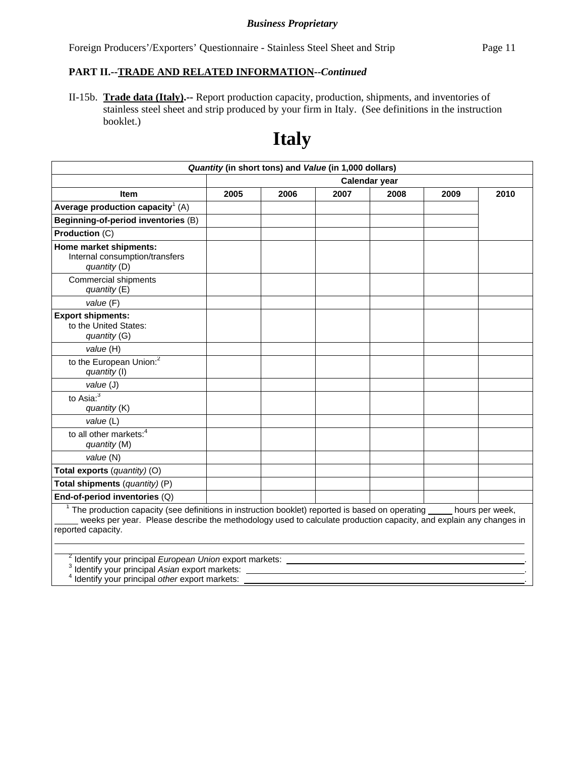Foreign Producers'/Exporters' Questionnaire - Stainless Steel Sheet and Strip Page 11

#### **PART II.--TRADE AND RELATED INFORMATION--***Continued*

II-15b. **Trade data (Italy).--** Report production capacity, production, shipments, and inventories of stainless steel sheet and strip produced by your firm in Italy. (See definitions in the instruction booklet.)

# **Italy**

|                                                                                                                                                                                                                                                         | Quantity (in short tons) and Value (in 1,000 dollars) |      |      |               |      |                 |
|---------------------------------------------------------------------------------------------------------------------------------------------------------------------------------------------------------------------------------------------------------|-------------------------------------------------------|------|------|---------------|------|-----------------|
|                                                                                                                                                                                                                                                         |                                                       |      |      | Calendar year |      |                 |
| <b>Item</b>                                                                                                                                                                                                                                             | 2005                                                  | 2006 | 2007 | 2008          | 2009 | 2010            |
| Average production capacity <sup>1</sup> (A)                                                                                                                                                                                                            |                                                       |      |      |               |      |                 |
| Beginning-of-period inventories (B)                                                                                                                                                                                                                     |                                                       |      |      |               |      |                 |
| Production (C)                                                                                                                                                                                                                                          |                                                       |      |      |               |      |                 |
| Home market shipments:<br>Internal consumption/transfers<br>quantity (D)                                                                                                                                                                                |                                                       |      |      |               |      |                 |
| Commercial shipments<br>quantity (E)                                                                                                                                                                                                                    |                                                       |      |      |               |      |                 |
| value (F)                                                                                                                                                                                                                                               |                                                       |      |      |               |      |                 |
| <b>Export shipments:</b><br>to the United States:<br>quantity (G)                                                                                                                                                                                       |                                                       |      |      |               |      |                 |
| value (H)                                                                                                                                                                                                                                               |                                                       |      |      |               |      |                 |
| to the European Union: <sup>2</sup><br>quantity (I)                                                                                                                                                                                                     |                                                       |      |      |               |      |                 |
| value (J)                                                                                                                                                                                                                                               |                                                       |      |      |               |      |                 |
| to Asia: $3$<br>quantity (K)                                                                                                                                                                                                                            |                                                       |      |      |               |      |                 |
| value (L)                                                                                                                                                                                                                                               |                                                       |      |      |               |      |                 |
| to all other markets: <sup>4</sup><br>quantity (M)                                                                                                                                                                                                      |                                                       |      |      |               |      |                 |
| value (N)                                                                                                                                                                                                                                               |                                                       |      |      |               |      |                 |
| Total exports (quantity) (O)                                                                                                                                                                                                                            |                                                       |      |      |               |      |                 |
| Total shipments (quantity) (P)                                                                                                                                                                                                                          |                                                       |      |      |               |      |                 |
| End-of-period inventories (Q)                                                                                                                                                                                                                           |                                                       |      |      |               |      |                 |
| <sup>1</sup> The production capacity (see definitions in instruction booklet) reported is based on operating<br>weeks per year. Please describe the methodology used to calculate production capacity, and explain any changes in<br>reported capacity. |                                                       |      |      |               |      | hours per week, |

2 Identify your principal *European Union* export markets: . 3

Identify your principal *Asian* export markets: . 4

Identify your principal *other* export markets: .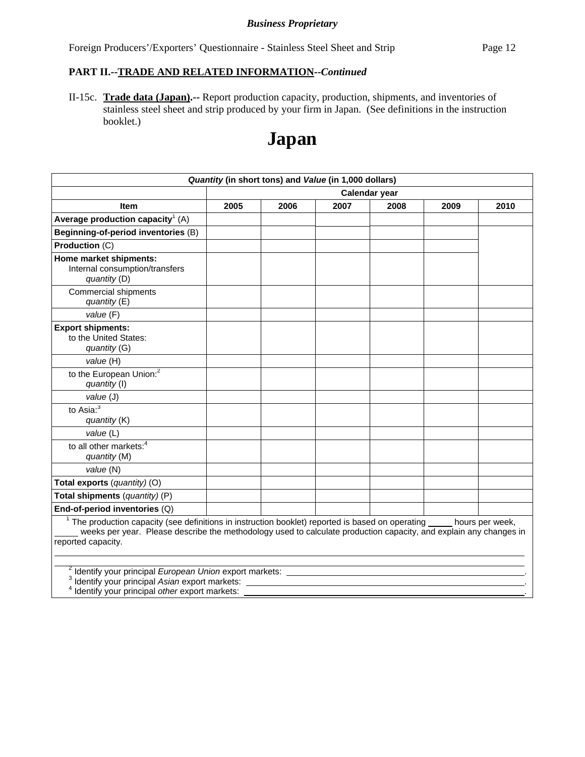Foreign Producers'/Exporters' Questionnaire - Stainless Steel Sheet and Strip Page 12

#### **PART II.--TRADE AND RELATED INFORMATION--***Continued*

II-15c. **Trade data (Japan).--** Report production capacity, production, shipments, and inventories of stainless steel sheet and strip produced by your firm in Japan. (See definitions in the instruction booklet.)

# **Japan**

|                                                                                                                                                                                                                                                                           |      | Quantity (in short tons) and Value (in 1,000 dollars) |      |               |      |      |
|---------------------------------------------------------------------------------------------------------------------------------------------------------------------------------------------------------------------------------------------------------------------------|------|-------------------------------------------------------|------|---------------|------|------|
|                                                                                                                                                                                                                                                                           |      |                                                       |      | Calendar year |      |      |
| <b>Item</b>                                                                                                                                                                                                                                                               | 2005 | 2006                                                  | 2007 | 2008          | 2009 | 2010 |
| Average production capacity <sup>1</sup> (A)                                                                                                                                                                                                                              |      |                                                       |      |               |      |      |
| Beginning-of-period inventories (B)                                                                                                                                                                                                                                       |      |                                                       |      |               |      |      |
| Production (C)                                                                                                                                                                                                                                                            |      |                                                       |      |               |      |      |
| Home market shipments:<br>Internal consumption/transfers<br>quantity (D)                                                                                                                                                                                                  |      |                                                       |      |               |      |      |
| Commercial shipments<br>quantity (E)                                                                                                                                                                                                                                      |      |                                                       |      |               |      |      |
| value (F)                                                                                                                                                                                                                                                                 |      |                                                       |      |               |      |      |
| <b>Export shipments:</b><br>to the United States:<br>quantity (G)                                                                                                                                                                                                         |      |                                                       |      |               |      |      |
| value (H)                                                                                                                                                                                                                                                                 |      |                                                       |      |               |      |      |
| to the European Union. <sup>2</sup><br>quantity (I)                                                                                                                                                                                                                       |      |                                                       |      |               |      |      |
| value (J)                                                                                                                                                                                                                                                                 |      |                                                       |      |               |      |      |
| to Asia: $3$<br>quantity (K)                                                                                                                                                                                                                                              |      |                                                       |      |               |      |      |
| value (L)                                                                                                                                                                                                                                                                 |      |                                                       |      |               |      |      |
| to all other markets: <sup>4</sup><br>quantity (M)                                                                                                                                                                                                                        |      |                                                       |      |               |      |      |
| value (N)                                                                                                                                                                                                                                                                 |      |                                                       |      |               |      |      |
| Total exports (quantity) (O)                                                                                                                                                                                                                                              |      |                                                       |      |               |      |      |
| Total shipments (quantity) (P)                                                                                                                                                                                                                                            |      |                                                       |      |               |      |      |
| End-of-period inventories (Q)                                                                                                                                                                                                                                             |      |                                                       |      |               |      |      |
| $1$ The production capacity (see definitions in instruction booklet) reported is based on operating $\_\_\_\_$ hours per week,<br>weeks per year. Please describe the methodology used to calculate production capacity, and explain any changes in<br>reported capacity. |      |                                                       |      |               |      |      |
| <sup>2</sup> Identify your principal European Union export markets:<br><sup>3</sup> Identify your principal Asian export markets:<br>Identify your principal other export markets:                                                                                        |      |                                                       |      |               |      |      |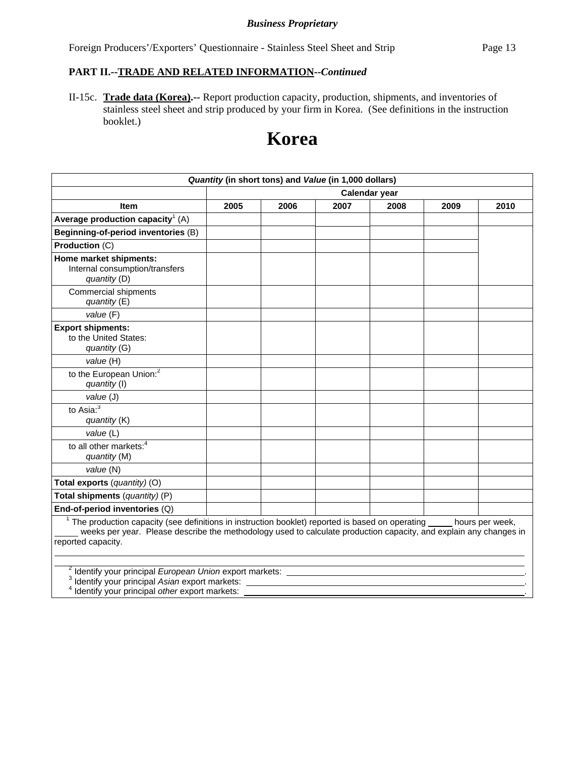Foreign Producers'/Exporters' Questionnaire - Stainless Steel Sheet and Strip Page 13

# **PART II.--TRADE AND RELATED INFORMATION--***Continued*

II-15c. **Trade data (Korea).--** Report production capacity, production, shipments, and inventories of stainless steel sheet and strip produced by your firm in Korea. (See definitions in the instruction booklet.)

# **Korea**

|                                                                                                                                                                                                                                                                           |      |      | Quantity (in short tons) and Value (in 1,000 dollars) |               |      |      |
|---------------------------------------------------------------------------------------------------------------------------------------------------------------------------------------------------------------------------------------------------------------------------|------|------|-------------------------------------------------------|---------------|------|------|
|                                                                                                                                                                                                                                                                           |      |      |                                                       | Calendar year |      |      |
| <b>Item</b>                                                                                                                                                                                                                                                               | 2005 | 2006 | 2007                                                  | 2008          | 2009 | 2010 |
| Average production capacity <sup>1</sup> (A)                                                                                                                                                                                                                              |      |      |                                                       |               |      |      |
| Beginning-of-period inventories (B)                                                                                                                                                                                                                                       |      |      |                                                       |               |      |      |
| Production (C)                                                                                                                                                                                                                                                            |      |      |                                                       |               |      |      |
| Home market shipments:<br>Internal consumption/transfers<br>quantity (D)                                                                                                                                                                                                  |      |      |                                                       |               |      |      |
| Commercial shipments<br>quantity $(E)$                                                                                                                                                                                                                                    |      |      |                                                       |               |      |      |
| value (F)                                                                                                                                                                                                                                                                 |      |      |                                                       |               |      |      |
| <b>Export shipments:</b><br>to the United States:<br>quantity (G)                                                                                                                                                                                                         |      |      |                                                       |               |      |      |
| value (H)                                                                                                                                                                                                                                                                 |      |      |                                                       |               |      |      |
| to the European Union: <sup>2</sup><br>quantity (I)                                                                                                                                                                                                                       |      |      |                                                       |               |      |      |
| value (J)                                                                                                                                                                                                                                                                 |      |      |                                                       |               |      |      |
| to Asia: $3$<br>quantity (K)                                                                                                                                                                                                                                              |      |      |                                                       |               |      |      |
| value (L)                                                                                                                                                                                                                                                                 |      |      |                                                       |               |      |      |
| to all other markets: <sup>4</sup><br>quantity (M)                                                                                                                                                                                                                        |      |      |                                                       |               |      |      |
| value (N)                                                                                                                                                                                                                                                                 |      |      |                                                       |               |      |      |
| Total exports (quantity) (O)                                                                                                                                                                                                                                              |      |      |                                                       |               |      |      |
| Total shipments (quantity) (P)                                                                                                                                                                                                                                            |      |      |                                                       |               |      |      |
| End-of-period inventories (Q)                                                                                                                                                                                                                                             |      |      |                                                       |               |      |      |
| $1$ The production capacity (see definitions in instruction booklet) reported is based on operating $\_\_\_\_$ hours per week,<br>weeks per year. Please describe the methodology used to calculate production capacity, and explain any changes in<br>reported capacity. |      |      |                                                       |               |      |      |
| <sup>2</sup> Identify your principal European Union export markets:<br>Identify your principal Asian export markets:<br>Identify your principal other export markets:                                                                                                     |      |      |                                                       |               |      |      |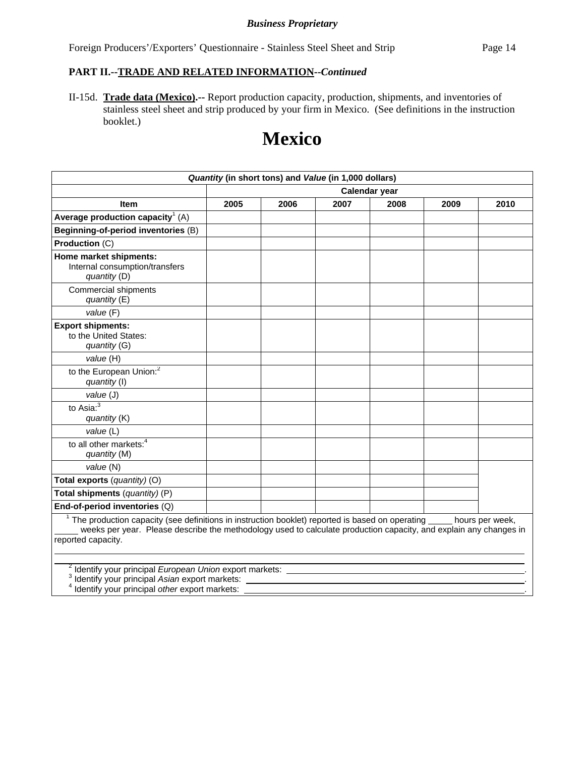Foreign Producers'/Exporters' Questionnaire - Stainless Steel Sheet and Strip Page 14

#### **PART II.--TRADE AND RELATED INFORMATION--***Continued*

II-15d. **Trade data (Mexico).--** Report production capacity, production, shipments, and inventories of stainless steel sheet and strip produced by your firm in Mexico. (See definitions in the instruction booklet.)

# **Mexico**

| Quantity (in short tons) and Value (in 1,000 dollars)                                                                                                                                                                                                                 |      |      |      |               |      |      |
|-----------------------------------------------------------------------------------------------------------------------------------------------------------------------------------------------------------------------------------------------------------------------|------|------|------|---------------|------|------|
|                                                                                                                                                                                                                                                                       |      |      |      | Calendar year |      |      |
| <b>Item</b>                                                                                                                                                                                                                                                           | 2005 | 2006 | 2007 | 2008          | 2009 | 2010 |
| Average production capacity <sup>1</sup> (A)                                                                                                                                                                                                                          |      |      |      |               |      |      |
| Beginning-of-period inventories (B)                                                                                                                                                                                                                                   |      |      |      |               |      |      |
| Production (C)                                                                                                                                                                                                                                                        |      |      |      |               |      |      |
| Home market shipments:<br>Internal consumption/transfers<br>quantity (D)                                                                                                                                                                                              |      |      |      |               |      |      |
| <b>Commercial shipments</b><br>quantity (E)                                                                                                                                                                                                                           |      |      |      |               |      |      |
| value (F)                                                                                                                                                                                                                                                             |      |      |      |               |      |      |
| <b>Export shipments:</b><br>to the United States:<br>quantity (G)                                                                                                                                                                                                     |      |      |      |               |      |      |
| value (H)                                                                                                                                                                                                                                                             |      |      |      |               |      |      |
| to the European Union: <sup>2</sup><br>quantity (I)                                                                                                                                                                                                                   |      |      |      |               |      |      |
| value (J)                                                                                                                                                                                                                                                             |      |      |      |               |      |      |
| to Asia: $3$<br>quantity (K)                                                                                                                                                                                                                                          |      |      |      |               |      |      |
| value (L)                                                                                                                                                                                                                                                             |      |      |      |               |      |      |
| to all other markets: <sup>4</sup><br>quantity (M)                                                                                                                                                                                                                    |      |      |      |               |      |      |
| value (N)                                                                                                                                                                                                                                                             |      |      |      |               |      |      |
| Total exports (quantity) (O)                                                                                                                                                                                                                                          |      |      |      |               |      |      |
| Total shipments (quantity) (P)                                                                                                                                                                                                                                        |      |      |      |               |      |      |
| End-of-period inventories (Q)                                                                                                                                                                                                                                         |      |      |      |               |      |      |
| $1$ The production capacity (see definitions in instruction booklet) reported is based on operating $\_\_$ hours per week,<br>weeks per year. Please describe the methodology used to calculate production capacity, and explain any changes in<br>reported capacity. |      |      |      |               |      |      |
| <sup>2</sup> Identify your principal European Union export markets:<br><sup>3</sup> Identify your principal Asian export markets:<br>Identify your principal other export markets:                                                                                    |      |      |      |               |      |      |

Identify your principal *other* export markets: .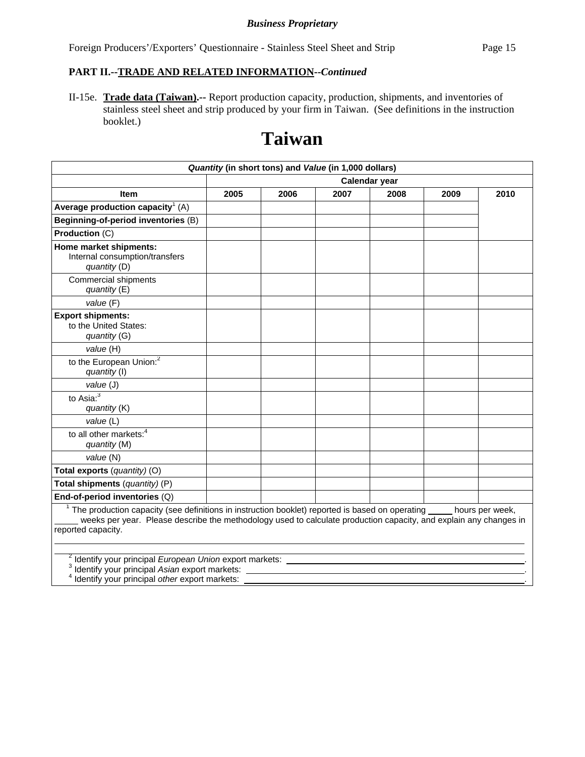Foreign Producers'/Exporters' Questionnaire - Stainless Steel Sheet and Strip Page 15

#### **PART II.--TRADE AND RELATED INFORMATION--***Continued*

II-15e. **Trade data (Taiwan).--** Report production capacity, production, shipments, and inventories of stainless steel sheet and strip produced by your firm in Taiwan. (See definitions in the instruction booklet.)

# **Taiwan**

| Quantity (in short tons) and Value (in 1,000 dollars)                                                                                                                                                                                                   |      |      |      |               |      |                 |
|---------------------------------------------------------------------------------------------------------------------------------------------------------------------------------------------------------------------------------------------------------|------|------|------|---------------|------|-----------------|
|                                                                                                                                                                                                                                                         |      |      |      | Calendar year |      |                 |
| <b>Item</b>                                                                                                                                                                                                                                             | 2005 | 2006 | 2007 | 2008          | 2009 | 2010            |
| Average production capacity <sup>1</sup> (A)                                                                                                                                                                                                            |      |      |      |               |      |                 |
| Beginning-of-period inventories (B)                                                                                                                                                                                                                     |      |      |      |               |      |                 |
| Production (C)                                                                                                                                                                                                                                          |      |      |      |               |      |                 |
| Home market shipments:<br>Internal consumption/transfers<br>quantity (D)                                                                                                                                                                                |      |      |      |               |      |                 |
| Commercial shipments<br>quantity $(E)$                                                                                                                                                                                                                  |      |      |      |               |      |                 |
| value (F)                                                                                                                                                                                                                                               |      |      |      |               |      |                 |
| <b>Export shipments:</b><br>to the United States:<br>quantity (G)                                                                                                                                                                                       |      |      |      |               |      |                 |
| value (H)                                                                                                                                                                                                                                               |      |      |      |               |      |                 |
| to the European Union: <sup>2</sup><br>quantity (I)                                                                                                                                                                                                     |      |      |      |               |      |                 |
| value (J)                                                                                                                                                                                                                                               |      |      |      |               |      |                 |
| to Asia: $3\overline{3}$<br>quantity (K)                                                                                                                                                                                                                |      |      |      |               |      |                 |
| value (L)                                                                                                                                                                                                                                               |      |      |      |               |      |                 |
| to all other markets: <sup>4</sup><br>quantity (M)                                                                                                                                                                                                      |      |      |      |               |      |                 |
| value (N)                                                                                                                                                                                                                                               |      |      |      |               |      |                 |
| Total exports (quantity) (O)                                                                                                                                                                                                                            |      |      |      |               |      |                 |
| Total shipments (quantity) (P)                                                                                                                                                                                                                          |      |      |      |               |      |                 |
| End-of-period inventories (Q)                                                                                                                                                                                                                           |      |      |      |               |      |                 |
| <sup>1</sup> The production capacity (see definitions in instruction booklet) reported is based on operating<br>weeks per year. Please describe the methodology used to calculate production capacity, and explain any changes in<br>reported capacity. |      |      |      |               |      | hours per week, |

2 Identify your principal *European Union* export markets: . 3

Identify your principal *Asian* export markets: . 4

Identify your principal *other* export markets: .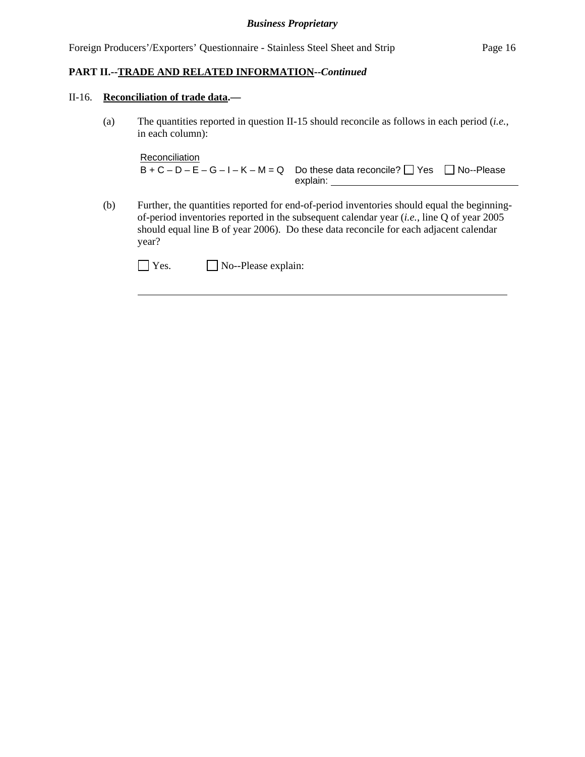#### **PART II.--TRADE AND RELATED INFORMATION--***Continued*

#### II-16. **Reconciliation of trade data.—**

 $\overline{a}$ 

(a) The quantities reported in question II-15 should reconcile as follows in each period (*i.e.*, in each column):

```
Reconciliation
B + C - D - E - G - I - K - M = Q Do these data reconcile? \Box Yes \Box No--Please
                                  explain:
```
(b) Further, the quantities reported for end-of-period inventories should equal the beginningof-period inventories reported in the subsequent calendar year (*i.e.*, line Q of year 2005 should equal line B of year 2006). Do these data reconcile for each adjacent calendar year?

| $\Box$ Yes. | $\Box$ No--Please explain: |
|-------------|----------------------------|
|-------------|----------------------------|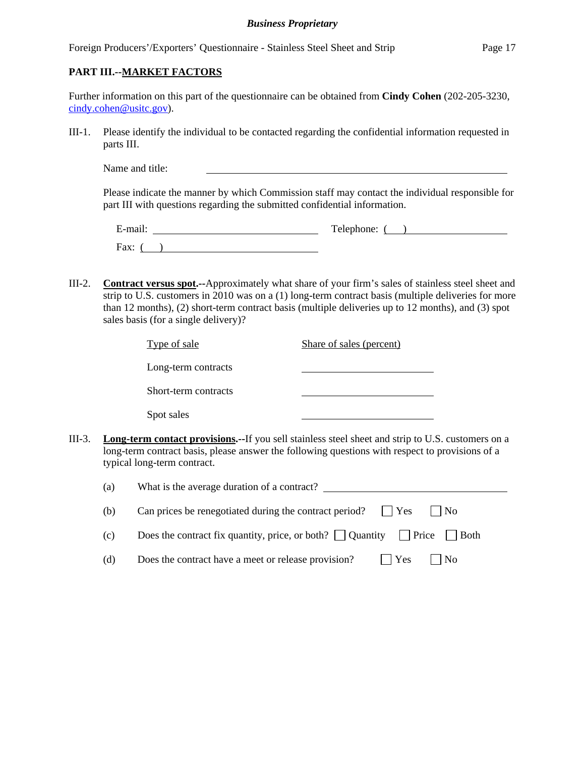#### **PART III.--MARKET FACTORS**

| Further information on this part of the questionnaire can be obtained from <b>Cindy Cohen</b> (202-205-3230, |  |
|--------------------------------------------------------------------------------------------------------------|--|
| $\dot{\text{c}}$ cindy.cohen@usitc.gov).                                                                     |  |

III-1. Please identify the individual to be contacted regarding the confidential information requested in parts III.

Name and title:

Please indicate the manner by which Commission staff may contact the individual responsible for part III with questions regarding the submitted confidential information.

| $\cdot$ $\cdot$ $\cdot$<br>±-mail: | Telephone: |
|------------------------------------|------------|
| Fax:                               |            |

III-2. **Contract versus spot.--**Approximately what share of your firm's sales of stainless steel sheet and strip to U.S. customers in 2010 was on a (1) long-term contract basis (multiple deliveries for more than 12 months), (2) short-term contract basis (multiple deliveries up to 12 months), and (3) spot sales basis (for a single delivery)?

| Type of sale         | Share of sales (percent) |  |
|----------------------|--------------------------|--|
| Long-term contracts  |                          |  |
| Short-term contracts |                          |  |
| Spot sales           |                          |  |

III-3. **Long-term contact provisions.--**If you sell stainless steel sheet and strip to U.S. customers on a long-term contract basis, please answer the following questions with respect to provisions of a typical long-term contract.

| (a) | What is the average duration of a contract?                                                       |
|-----|---------------------------------------------------------------------------------------------------|
| (b) | Can prices be renegotiated during the contract period? $\Box$ Yes<br>$\vert$   No                 |
| (c) | Does the contract fix quantity, price, or both? $\vert$   Quantity $\vert$   Price $\vert$   Both |
| (d) | $\vert$   Yes<br>Does the contract have a meet or release provision?<br>$\vert$   No              |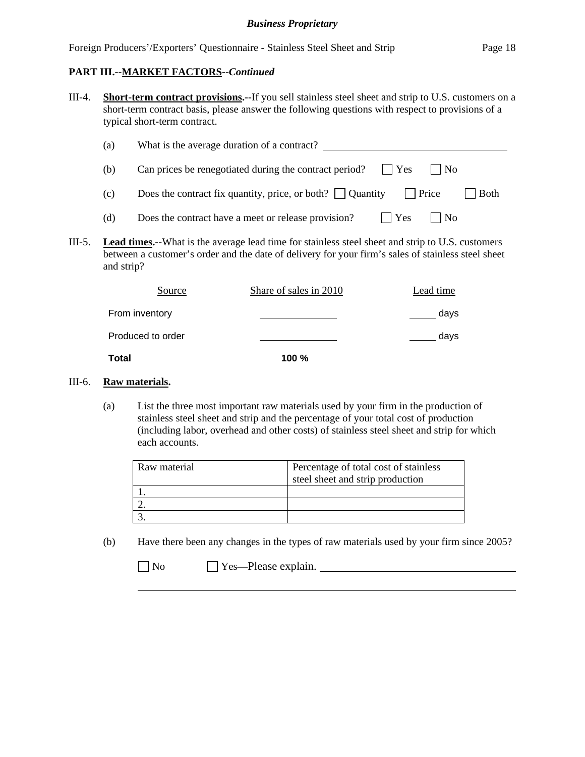III-4. **Short-term contract provisions.--**If you sell stainless steel sheet and strip to U.S. customers on a short-term contract basis, please answer the following questions with respect to provisions of a typical short-term contract.

| (a) | What is the average duration of a contract?                                                    |
|-----|------------------------------------------------------------------------------------------------|
| (b) | Can prices be renegotiated during the contract period? $\Box$ Yes<br>$\vert$ $\vert$ No        |
| (c) | Does the contract fix quantity, price, or both? $\vert$ Quantity<br>  Price<br>$ $ Both        |
| (d) | Does the contract have a meet or release provision?<br>$\vert$   Yes<br>$\overline{\text{No}}$ |

III-5. **Lead times.--**What is the average lead time for stainless steel sheet and strip to U.S. customers between a customer's order and the date of delivery for your firm's sales of stainless steel sheet and strip?

| Source            | Share of sales in 2010 | Lead time |
|-------------------|------------------------|-----------|
| From inventory    |                        | days      |
| Produced to order |                        | days      |
| Total             | $100 \%$               |           |

#### III-6. **Raw materials.**

(a) List the three most important raw materials used by your firm in the production of stainless steel sheet and strip and the percentage of your total cost of production (including labor, overhead and other costs) of stainless steel sheet and strip for which each accounts.

| Raw material | Percentage of total cost of stainless |
|--------------|---------------------------------------|
|              | steel sheet and strip production      |
|              |                                       |
|              |                                       |
|              |                                       |

(b) Have there been any changes in the types of raw materials used by your firm since 2005?

| × |  | ง∩<br>I |
|---|--|---------|
|---|--|---------|

 $\overline{a}$ 

Yes—Please explain.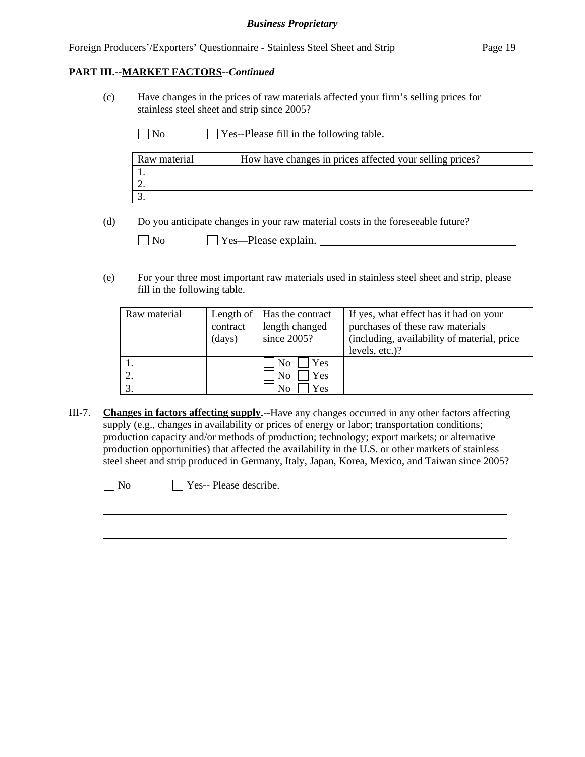(c) Have changes in the prices of raw materials affected your firm's selling prices for stainless steel sheet and strip since 2005?

| $\Box$ No<br>$\Box$ Yes--Please fill in the following table. |  |
|--------------------------------------------------------------|--|
|--------------------------------------------------------------|--|

| Raw material | How have changes in prices affected your selling prices? |
|--------------|----------------------------------------------------------|
|              |                                                          |
|              |                                                          |
|              |                                                          |

(d) Do you anticipate changes in your raw material costs in the foreseeable future?

| N <sub>0</sub> | $\Box$ Yes—Please explain. |
|----------------|----------------------------|
|----------------|----------------------------|

(e) For your three most important raw materials used in stainless steel sheet and strip, please fill in the following table.

| Raw material | contract<br>(days) | Length of $\vert$ Has the contract<br>length changed<br>since $2005$ ? | If yes, what effect has it had on your<br>purchases of these raw materials<br>(including, availability of material, price)<br>levels, etc.)? |
|--------------|--------------------|------------------------------------------------------------------------|----------------------------------------------------------------------------------------------------------------------------------------------|
|              |                    | Yes<br>N <sub>0</sub>                                                  |                                                                                                                                              |
|              |                    | Yes<br>N <sub>0</sub>                                                  |                                                                                                                                              |
|              |                    | Yes<br>No                                                              |                                                                                                                                              |

III-7. **Changes in factors affecting supply.--**Have any changes occurred in any other factors affecting supply (e.g., changes in availability or prices of energy or labor; transportation conditions; production capacity and/or methods of production; technology; export markets; or alternative production opportunities) that affected the availability in the U.S. or other markets of stainless steel sheet and strip produced in Germany, Italy, Japan, Korea, Mexico, and Taiwan since 2005?

 $\overline{a}$ 

 $\overline{a}$ 

 $\neg$  No  $\neg$  Yes-- Please describe.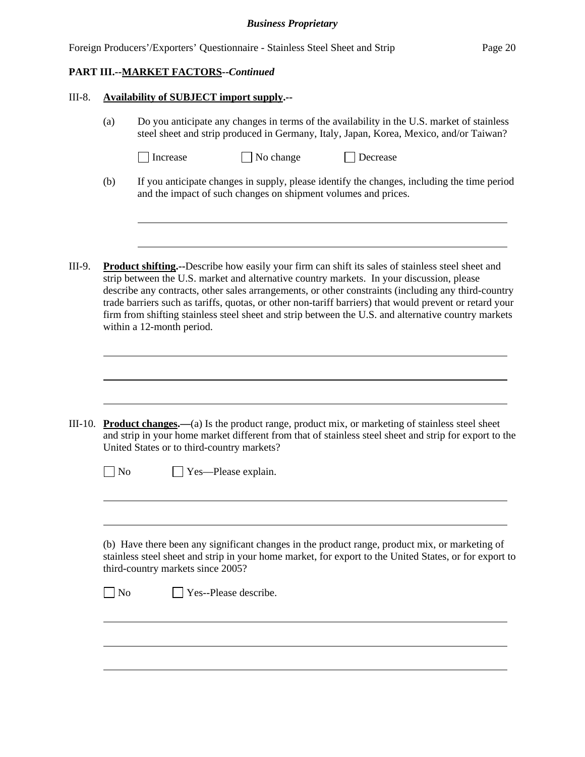| Foreign Producers'/Exporters' Questionnaire - Stainless Steel Sheet and Strip | Page 20 |
|-------------------------------------------------------------------------------|---------|
|                                                                               |         |

l

 $\overline{a}$ 

#### III-8. **Availability of SUBJECT import supply.--**

- (a) Do you anticipate any changes in terms of the availability in the U.S. market of stainless steel sheet and strip produced in Germany, Italy, Japan, Korea, Mexico, and/or Taiwan?
	- □ Increase → No change → Decrease
- (b) If you anticipate changes in supply, please identify the changes, including the time period and the impact of such changes on shipment volumes and prices.
- III-9. **Product shifting.--**Describe how easily your firm can shift its sales of stainless steel sheet and strip between the U.S. market and alternative country markets. In your discussion, please describe any contracts, other sales arrangements, or other constraints (including any third-country trade barriers such as tariffs, quotas, or other non-tariff barriers) that would prevent or retard your firm from shifting stainless steel sheet and strip between the U.S. and alternative country markets within a 12-month period.

|    | III-10. <b>Product changes.</b> —(a) Is the product range, product mix, or marketing of stainless steel sheet<br>and strip in your home market different from that of stainless steel sheet and strip for export to the<br>United States or to third-country markets? |
|----|-----------------------------------------------------------------------------------------------------------------------------------------------------------------------------------------------------------------------------------------------------------------------|
| No | Yes-Please explain.                                                                                                                                                                                                                                                   |
|    |                                                                                                                                                                                                                                                                       |
|    |                                                                                                                                                                                                                                                                       |
|    | (b) Have there been any significant changes in the product range, product mix, or marketing of<br>stainless steel sheet and strip in your home market, for export to the United States, or for export to<br>third-country markets since 2005?                         |
| No | Yes--Please describe.                                                                                                                                                                                                                                                 |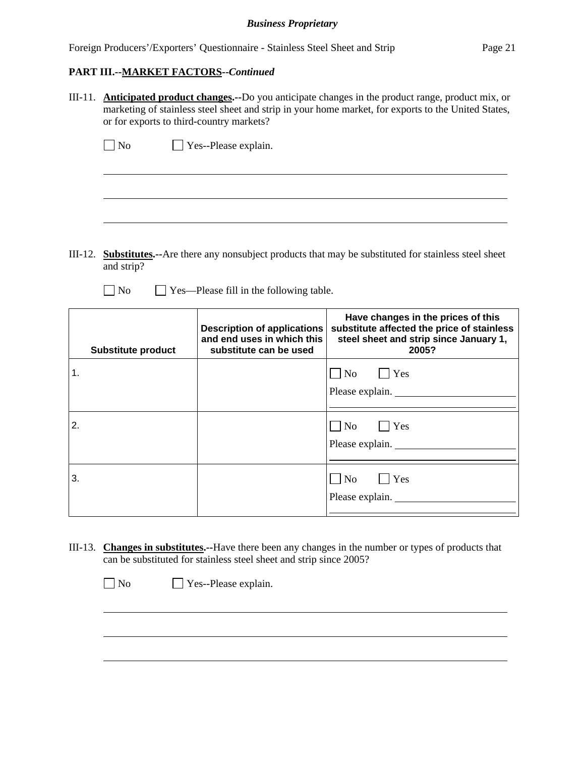Foreign Producers'/Exporters' Questionnaire - Stainless Steel Sheet and Strip Page 21

### **PART III.--MARKET FACTORS--***Continued*

III-11. **Anticipated product changes.--**Do you anticipate changes in the product range, product mix, or marketing of stainless steel sheet and strip in your home market, for exports to the United States, or for exports to third-country markets?

| $\Box$ No | $\Box$ Yes--Please explain. |
|-----------|-----------------------------|
|           |                             |
|           |                             |
|           |                             |

- III-12. **Substitutes.--**Are there any nonsubject products that may be substituted for stainless steel sheet and strip?
	- $\Box$  No  $\Box$  Yes—Please fill in the following table.

| <b>Substitute product</b> | <b>Description of applications</b><br>and end uses in which this<br>substitute can be used | Have changes in the prices of this<br>substitute affected the price of stainless<br>steel sheet and strip since January 1,<br>2005? |
|---------------------------|--------------------------------------------------------------------------------------------|-------------------------------------------------------------------------------------------------------------------------------------|
| 1.                        |                                                                                            | $\overline{\phantom{a}}$ No<br>$ $   Yes<br>Please explain.                                                                         |
| 2.                        |                                                                                            | $\Box$ No $\Box$ Yes<br>Please explain.                                                                                             |
| 3.                        |                                                                                            | N <sub>0</sub><br>$\vert \ \vert$ Yes<br>Please explain.                                                                            |

III-13. **Changes in substitutes.--**Have there been any changes in the number or types of products that can be substituted for stainless steel sheet and strip since 2005?

No Yes--Please explain.

 $\overline{a}$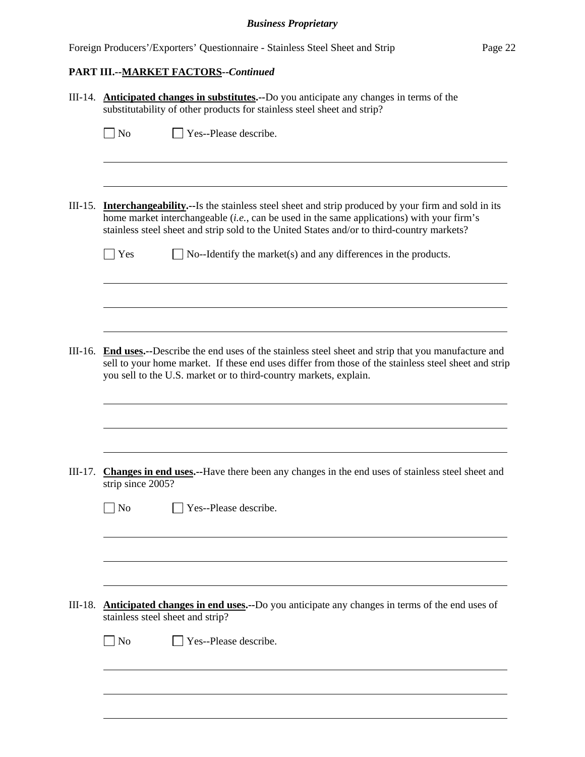# **PART III.--MARKET FACTORS--***Continued*

|           | III-14. Anticipated changes in substitutes.--Do you anticipate any changes in terms of the<br>substitutability of other products for stainless steel sheet and strip?                                                                                                                                         |
|-----------|---------------------------------------------------------------------------------------------------------------------------------------------------------------------------------------------------------------------------------------------------------------------------------------------------------------|
|           | Yes--Please describe.<br>$\Box$ No                                                                                                                                                                                                                                                                            |
|           | III-15. <b>Interchangeability.</b> —Is the stainless steel sheet and strip produced by your firm and sold in its<br>home market interchangeable $(i.e., can be used in the same applications)$ with your firm's<br>stainless steel sheet and strip sold to the United States and/or to third-country markets? |
|           | Yes<br>$\Box$ No--Identify the market(s) and any differences in the products.                                                                                                                                                                                                                                 |
|           | III-16. End uses.--Describe the end uses of the stainless steel sheet and strip that you manufacture and<br>sell to your home market. If these end uses differ from those of the stainless steel sheet and strip<br>you sell to the U.S. market or to third-country markets, explain.                         |
| $III-17.$ | <b>Changes in end uses.</b> --Have there been any changes in the end uses of stainless steel sheet and<br>strip since 2005?                                                                                                                                                                                   |
|           | Yes--Please describe.<br>N <sub>0</sub>                                                                                                                                                                                                                                                                       |
| $III-18.$ | Anticipated changes in end uses.--Do you anticipate any changes in terms of the end uses of<br>stainless steel sheet and strip?<br>$\Box$ No<br>Yes--Please describe.                                                                                                                                         |
|           |                                                                                                                                                                                                                                                                                                               |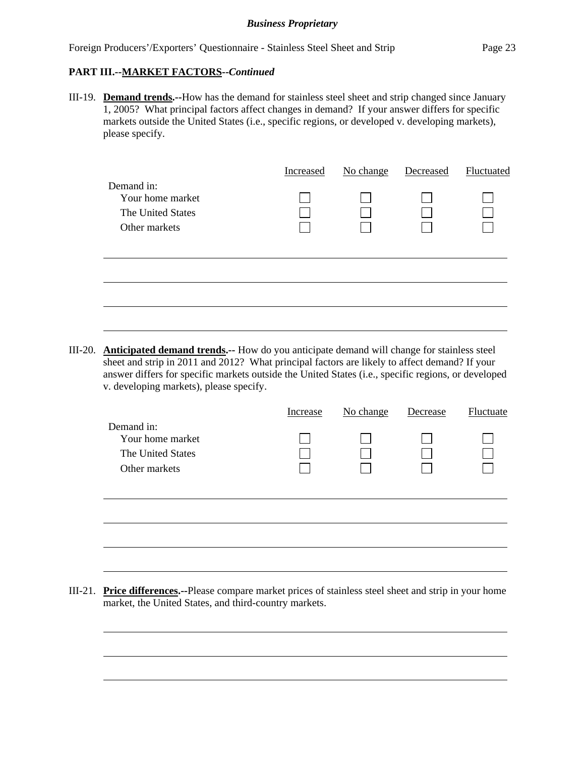$\overline{a}$ 

III-19. **Demand trends.--**How has the demand for stainless steel sheet and strip changed since January 1, 2005? What principal factors affect changes in demand? If your answer differs for specific markets outside the United States (i.e., specific regions, or developed v. developing markets), please specify.

|                                                                      | Increased | No change | Decreased | Fluctuated |
|----------------------------------------------------------------------|-----------|-----------|-----------|------------|
| Demand in:<br>Your home market<br>The United States<br>Other markets |           |           |           |            |
|                                                                      |           |           |           |            |
|                                                                      |           |           |           |            |

III-20. **Anticipated demand trends.--** How do you anticipate demand will change for stainless steel sheet and strip in 2011 and 2012? What principal factors are likely to affect demand? If your answer differs for specific markets outside the United States (i.e., specific regions, or developed v. developing markets), please specify.

|                                                                      | Increase | No change | Decrease | Fluctuate |
|----------------------------------------------------------------------|----------|-----------|----------|-----------|
| Demand in:<br>Your home market<br>The United States<br>Other markets |          |           |          |           |
|                                                                      |          |           |          |           |

III-21. **Price differences.--**Please compare market prices of stainless steel sheet and strip in your home market, the United States, and third-country markets.